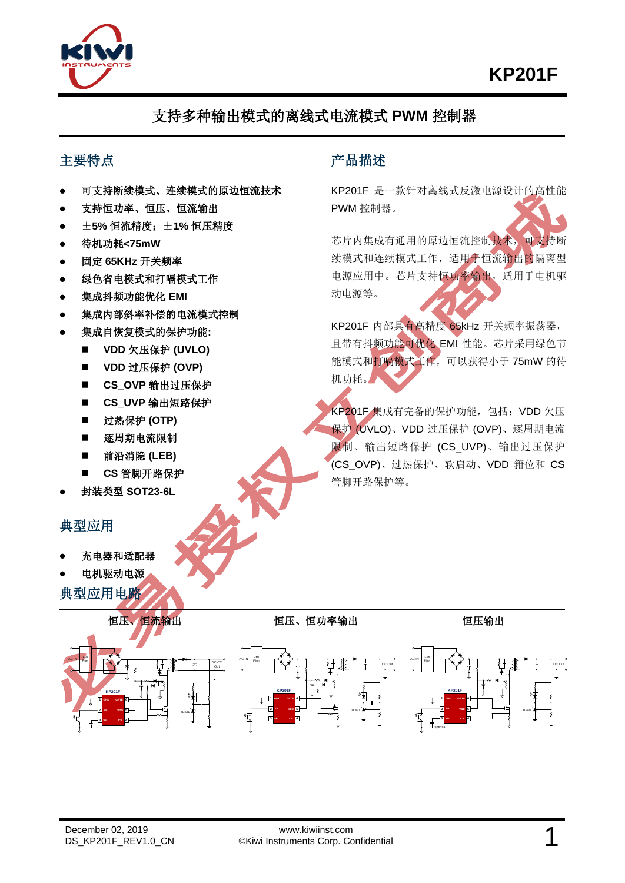



# 支持多种输出模式的离线式电流模式 **PWM** 控制器

#### 主要特点

- ⚫ 可支持断续模式、连续模式的原边恒流技术
- ⚫ 支持恒功率、恒压、恒流输出
- ⚫ ±**5%** 恒流精度;±**1%** 恒压精度
- ⚫ 待机功耗**<75mW**
- ⚫ 固定 **65KHz** 开关频率
- 绿色省电模式和打嗝模式工作
- ⚫ 集成抖频功能优化 **EMI**
- 集成内部斜率补偿的电流模式控制
- ⚫ 集成自恢复模式的保护功能**:**
	- VDD 欠压保护 (UVLO)
	- VDD 过压保护 (OVP)
	- CS\_OVP 输出过压保护
	- ◼ **CS\_UVP** 输出短路保护
	- 过热保护 **(OTP)**
	- 逐周期电流限制
	- 前沿消隐 (LEB)
	- ◼ **CS** 管脚开路保护
- ⚫ 封装类型 **SOT23-6L**

#### 典型应用

- ⚫ 充电器和适配器
- ⚫ 电机驱动电源
- 典型应用电路

### 产品描述

KP201F 是一款针对离线式反激电源设计的高性能 PWM 控制器。

芯片内集成有通用的原边恒流控制技术,可支持断 续模式和连续模式工作,适用于恒流输出的隔离型 电源应用中。芯片支持恒功率输出,适用于电机驱 动电源等。

KP201F 内部具有高精度 65kHz 开关频率振荡器, 且带有抖频功能可优化 EMI 性能。芯片采用绿色节 能模式和打嗝模式工作,可以获得小于 75mW 的待 机功耗。

KP201F 集成有完备的保护功能,包括:VDD 欠压 保护 (UVLO)、VDD 过压保护 (OVP)、逐周期电流 限制、输出短路保护 (CS\_UVP)、输出过压保护 (CS\_OVP)、过热保护、软启动、VDD 箝位和 CS 管脚开路保护等。



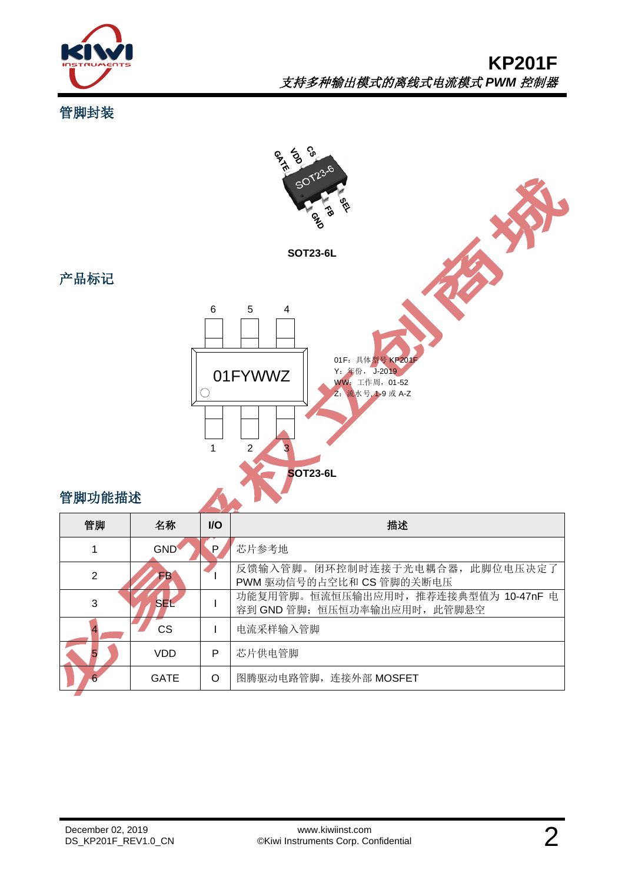

管脚封装

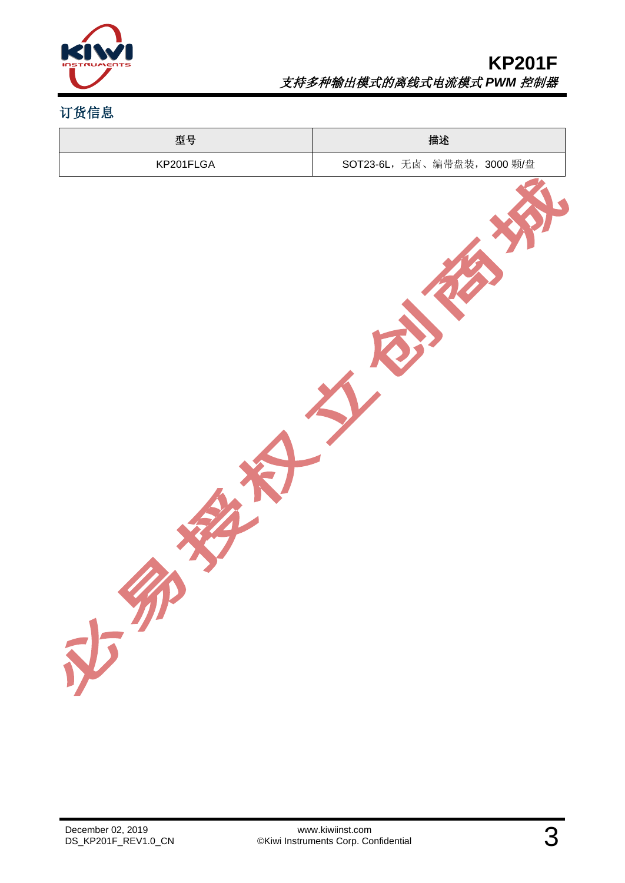

# 订货信息

| 型号        | 描述                          |
|-----------|-----------------------------|
| KP201FLGA | SOT23-6L, 无卤、编带盘装, 3000 颗/盘 |
| 中部        |                             |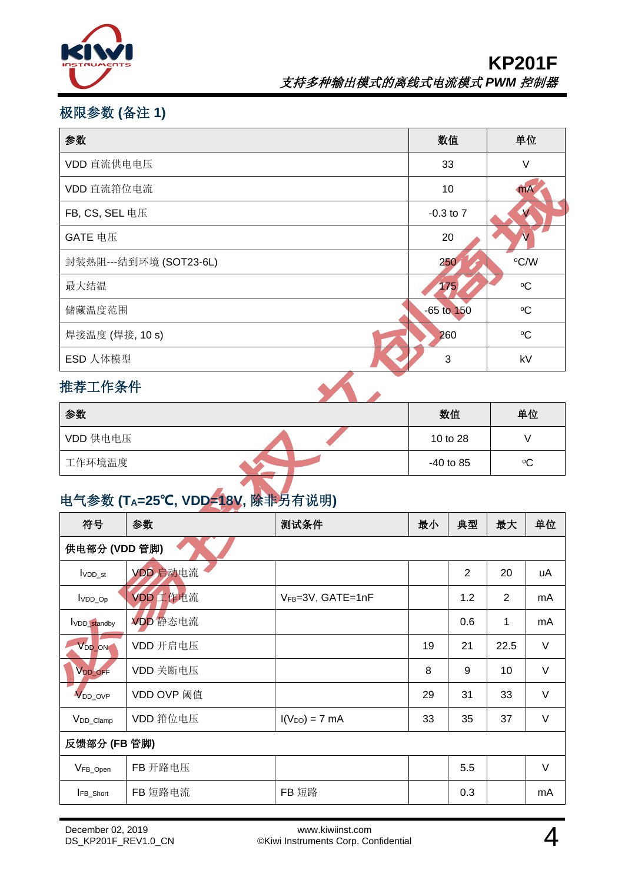

## 极限参数 **(**备注 **1)**

| 参数                     | 数值             | 单位             |
|------------------------|----------------|----------------|
| VDD 直流供电电压             | 33             | V              |
| VDD 直流箝位电流             | 10             | $\mathbf{m}$ A |
| FB, CS, SEL 电压         | $-0.3$ to $7$  | $\mathcal{N}$  |
| GATE 电压                | 20             |                |
| 封装热阻---结到环境 (SOT23-6L) | 250            | °C/W           |
| 最大结温                   | 175            | $\rm ^{o}C$    |
| 储藏温度范围                 | $-65$ to $150$ | $\rm ^{o}C$    |
| 焊接温度 (焊接, 10 s)        | 260            | $\rm ^{o}C$    |
| ESD 人体模型               | 3              | kV             |
| 推荐工作条件                 |                |                |

### 推荐工作条件

| 参数       | 数值          | 单位 |
|----------|-------------|----|
| VDD 供电电压 | 10 to 28    |    |
| 工作环境温度   | $-40$ to 85 | °C |

# 电气参数 **(TA=25℃, VDD=18V,** 除非另有说明**)**

| 符号                         | 参数         | 测试条件               | 最小 | 典型             | 最大             | 单位     |
|----------------------------|------------|--------------------|----|----------------|----------------|--------|
| 供电部分 (VDD 管脚)              |            |                    |    |                |                |        |
| $I$ <sub>VDD_st</sub>      | VDD 启动电流   |                    |    | $\overline{2}$ | 20             | uA     |
| VDD_Op                     | VDD 工作电流   | VFB=3V, GATE=1nF   |    | 1.2            | $\overline{2}$ | mA     |
| VDD_standby                | VDD 静态电流   |                    |    | 0.6            | $\mathbf{1}$   | mA     |
| V <sub>DD_ON</sub>         | VDD 开启电压   |                    | 19 | 21             | 22.5           | $\vee$ |
| V <sub>DD_OFF</sub>        | VDD 关断电压   |                    | 8  | 9              | 10             | $\vee$ |
| <b>V</b> <sub>DD_OVP</sub> | VDD OVP 阈值 |                    | 29 | 31             | 33             | $\vee$ |
| V <sub>DD_Clamp</sub>      | VDD 箝位电压   | $I(V_{DD}) = 7$ mA | 33 | 35             | 37             | $\vee$ |
| 反馈部分 (FB 管脚)               |            |                    |    |                |                |        |
| VFB_Open                   | FB 开路电压    |                    |    | 5.5            |                | V      |
| <b>IFB_Short</b>           | FB 短路电流    | FB 短路              |    | 0.3            |                | mA     |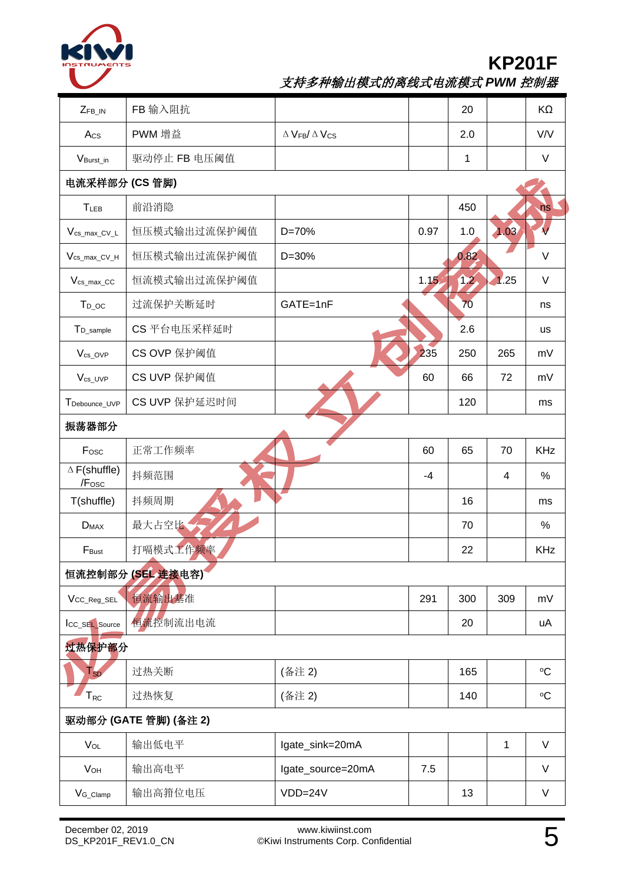

# **KP201F**

支持多种输出模式的离线式电流模式 *PWM* 控制器

| $Z_{FB\_IN}$                 | FB 输入阻抗          |                                                     |      | 20   |      | KΩ          |
|------------------------------|------------------|-----------------------------------------------------|------|------|------|-------------|
| Acs                          | PWM 增益           | $\Delta$ V <sub>FB</sub> / $\Delta$ V <sub>CS</sub> |      | 2.0  |      | V/V         |
| V <sub>Burst</sub> in        | 驱动停止 FB 电压阈值     |                                                     |      | 1    |      | $\vee$      |
| 电流采样部分 (CS 管脚)               |                  |                                                     |      |      |      |             |
| TLEB                         | 前沿消隐             |                                                     |      | 450  |      | ns          |
| $V_{cs\_max\_CV\_L}$         | 恒压模式输出过流保护阈值     | $D = 70%$                                           | 0.97 | 1.0  | 1.03 |             |
| $V_{cs\_max\_CV_H}$          | 恒压模式输出过流保护阈值     | $D = 30%$                                           |      | 0.82 |      | $\vee$      |
| $V_{cs\_max\_CC}$            | 恒流模式输出过流保护阈值     |                                                     | 1.15 | 12   | 1.25 | $\vee$      |
| $T_{D\_OC}$                  | 过流保护关断延时         | GATE=1nF                                            |      | 70   |      | ns          |
| T <sub>D_sample</sub>        | CS 平台电压采样延时      |                                                     |      | 2.6  |      | <b>us</b>   |
| V <sub>cs_OVP</sub>          | CS OVP 保护阈值      |                                                     | 235  | 250  | 265  | mV          |
| $V_{cs_UVP}$                 | CS UVP 保护阈值      |                                                     | 60   | 66   | 72   | mV          |
| TDebounce_UVP                | CS UVP 保护延迟时间    |                                                     |      | 120  |      | ms          |
| 振荡器部分                        |                  |                                                     |      |      |      |             |
| Fosc                         | 正常工作频率           |                                                     | 60   | 65   | 70   | <b>KHz</b>  |
| $\Delta$ F(shuffle)<br>/Fosc | 抖频范围             |                                                     | $-4$ |      | 4    | $\%$        |
| T(shuffle)                   | 抖频周期             |                                                     |      | 16   |      | ms          |
| $D_{MAX}$                    | 最大占空比            |                                                     |      | 70   |      | %           |
| F <sub>Bust</sub>            | 打嗝模式工作频率         |                                                     |      | 22   |      | <b>KHz</b>  |
|                              | 恒流控制部分(SEL 连接电容) |                                                     |      |      |      |             |
| VCC_Reg_SEL                  | 恒流输出基准           |                                                     | 291  | 300  | 309  | mV          |
| ICC_SEL_Source               | 恒流控制流出电流         |                                                     |      | 20   |      | uA          |
| 过热保护部分                       |                  |                                                     |      |      |      |             |
| $T_{SD}$                     | 过热关断             | (备注 2)                                              |      | 165  |      | $\rm ^{o}C$ |
| ${\sf T}_{\sf RC}$           | 过热恢复             | (备注 2)                                              |      | 140  |      | $\rm ^{o}C$ |
| 驱动部分 (GATE 管脚) (备注 2)        |                  |                                                     |      |      |      |             |
| $V_{OL}$                     | 输出低电平            | lgate_sink=20mA                                     |      |      | 1    | $\vee$      |
| <b>V<sub>OH</sub></b>        | 输出高电平            | lgate_source=20mA                                   | 7.5  |      |      | V           |
| $V_{G_C$ lamp                | 输出高箝位电压          | $VDD=24V$                                           |      | 13   |      | V           |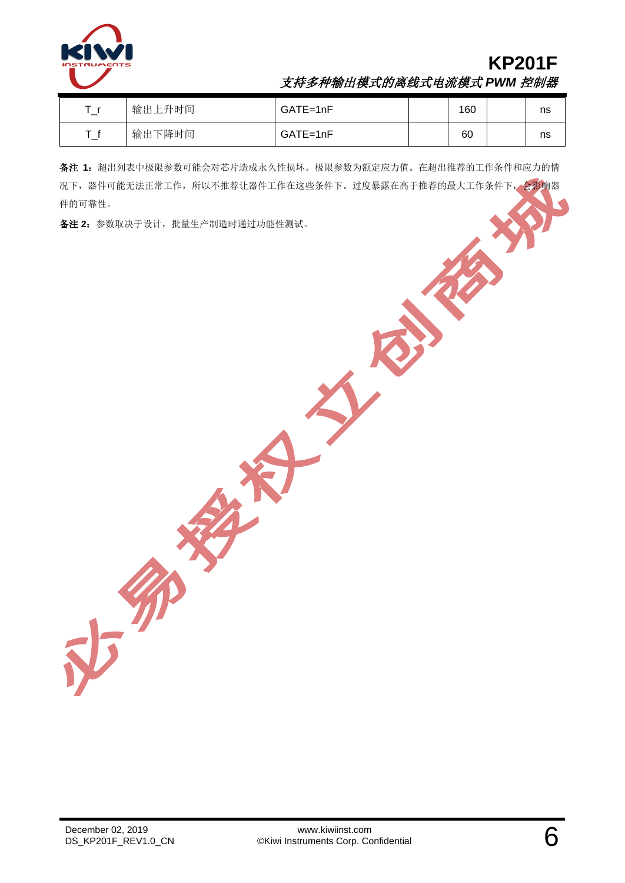

### **KP201F** 支持多种输出模式的离线式电流模式 *PWM* 控制器

| 输出上升时间 | GATE=1nF | 160 | ns |
|--------|----------|-----|----|
| 输出下降时间 | GATE=1nF | 60  | ns |

备注 **1**:超出列表中极限参数可能会对芯片造成永久性损坏。极限参数为额定应力值。在超出推荐的工作条件和应力的情 况下,器件可能无法正常工作,所以不推荐让器件工作在这些条件下。过度暴露在高于推荐的最大工作条件下,会影响器 件的可靠性。

备注 **2**:参数取决于设计,批量生产制造时通过功能性测试。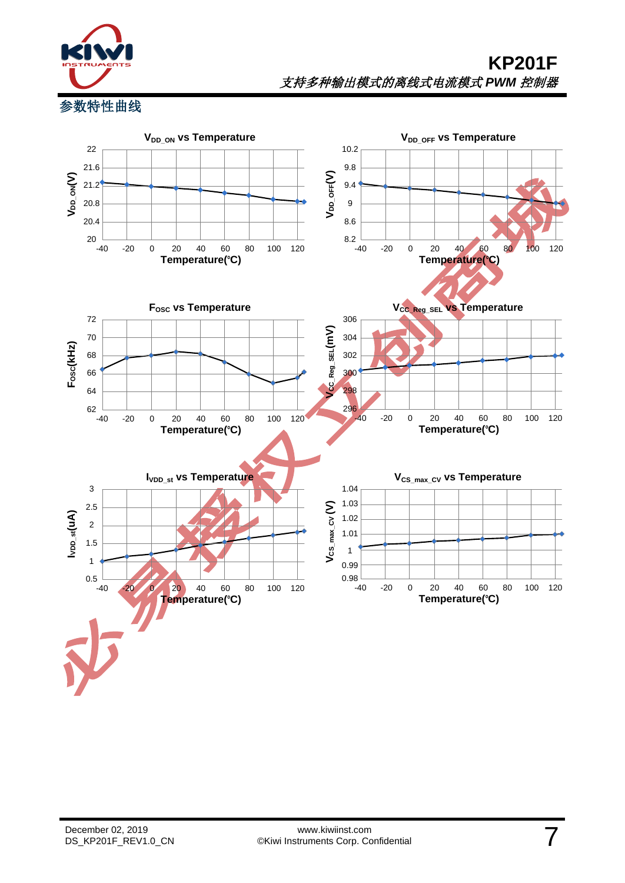

参数特性曲线

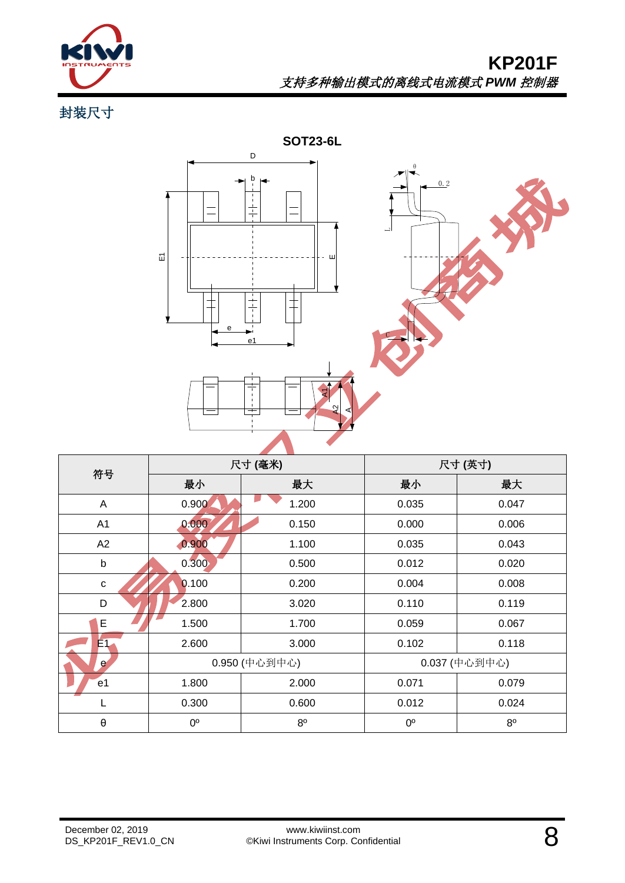![](_page_7_Picture_0.jpeg)

# **KP201F** 支持多种输出模式的离线式电流模式 *PWM* 控制器

封装尺寸

![](_page_7_Figure_3.jpeg)

| 符号                    | 尺寸(毫米)        |             | 尺寸(英寸)      |                |  |
|-----------------------|---------------|-------------|-------------|----------------|--|
|                       | 最小            | 最大          | 最小          | 最大             |  |
| A                     | 0.900         | 1.200       | 0.035       | 0.047          |  |
| A <sub>1</sub>        | 0.000         | 0.150       | 0.000       | 0.006          |  |
| A2                    | 0.900         | 1.100       | 0.035       | 0.043          |  |
| $\sf b$               | 0.300         | 0.500       | 0.012       | 0.020          |  |
| $\mathbf C$           | 0.100         | 0.200       | 0.004       | 0.008          |  |
| D                     | 2.800         | 3.020       | 0.110       | 0.119          |  |
| E                     | 1.500         | 1.700       | 0.059       | 0.067          |  |
| E1                    | 2.600         | 3.000       | 0.102       | 0.118          |  |
| e                     | 0.950 (中心到中心) |             |             | 0.037 (中心到中心)  |  |
| e <sub>1</sub>        | 1.800         | 2.000       | 0.071       | 0.079          |  |
| L                     | 0.300         | 0.600       | 0.012       | 0.024          |  |
| $\boldsymbol{\theta}$ | $0^{\circ}$   | $8^{\circ}$ | $0^{\circ}$ | 8 <sup>o</sup> |  |